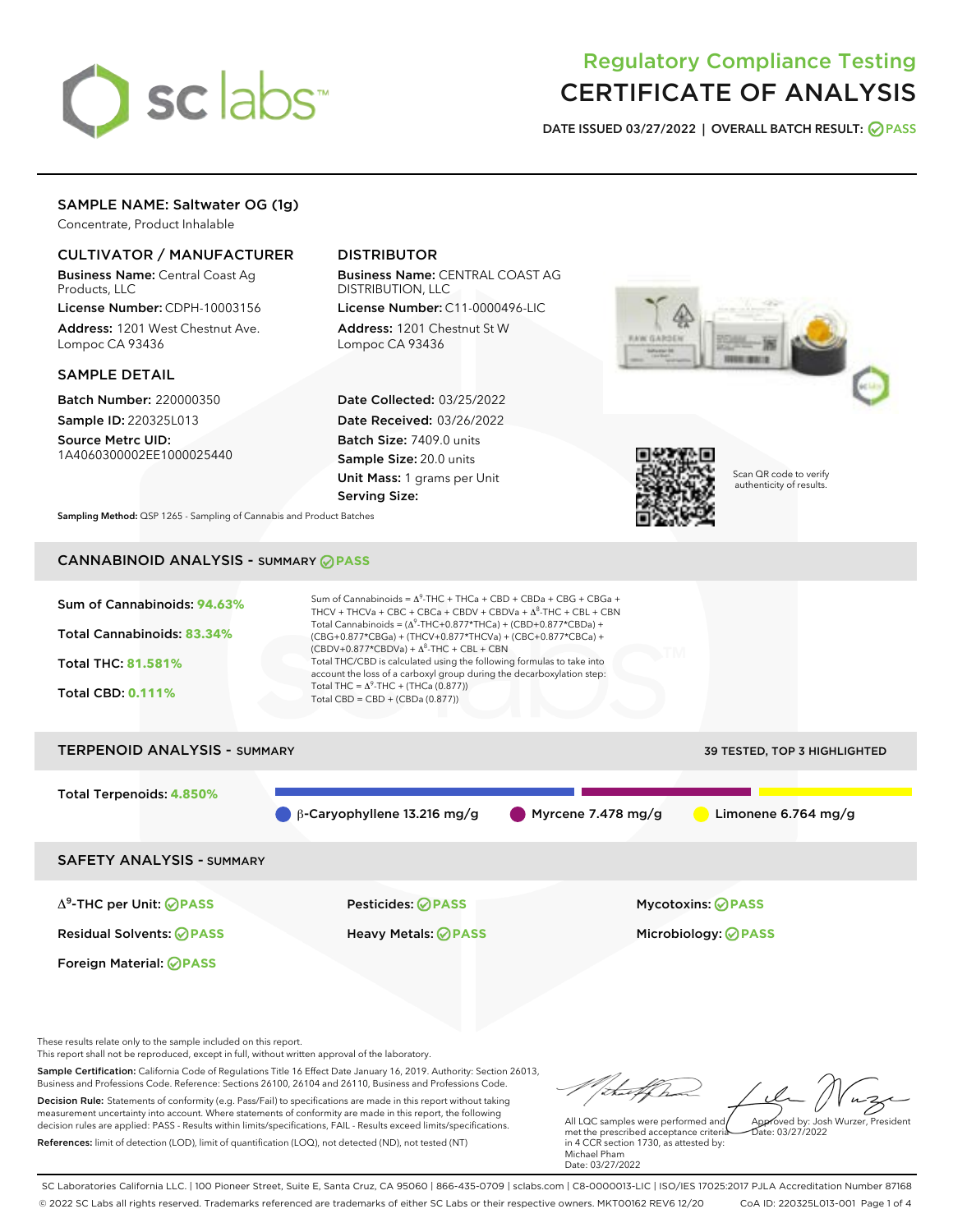# sclabs<sup>\*</sup>

# Regulatory Compliance Testing CERTIFICATE OF ANALYSIS

DATE ISSUED 03/27/2022 | OVERALL BATCH RESULT: @ PASS

# SAMPLE NAME: Saltwater OG (1g)

Concentrate, Product Inhalable

# CULTIVATOR / MANUFACTURER

Business Name: Central Coast Ag Products, LLC

License Number: CDPH-10003156 Address: 1201 West Chestnut Ave. Lompoc CA 93436

# SAMPLE DETAIL

Batch Number: 220000350 Sample ID: 220325L013

Source Metrc UID: 1A4060300002EE1000025440

# DISTRIBUTOR

Business Name: CENTRAL COAST AG DISTRIBUTION, LLC

License Number: C11-0000496-LIC Address: 1201 Chestnut St W Lompoc CA 93436

Date Collected: 03/25/2022 Date Received: 03/26/2022 Batch Size: 7409.0 units Sample Size: 20.0 units Unit Mass: 1 grams per Unit Serving Size:





Scan QR code to verify authenticity of results.

Sampling Method: QSP 1265 - Sampling of Cannabis and Product Batches

# CANNABINOID ANALYSIS - SUMMARY **PASS**



# TERPENOID ANALYSIS - SUMMARY 39 TESTED, TOP 3 HIGHLIGHTED Total Terpenoids: **4.850%**  $\theta$  β-Caryophyllene 13.216 mg/g  $\theta$  Myrcene 7.478 mg/g  $\theta$  Limonene 6.764 mg/g

SAFETY ANALYSIS - SUMMARY

Δ9-THC per Unit: **PASS** Pesticides: **PASS** Mycotoxins: **PASS**

Foreign Material: **PASS**

Residual Solvents: **PASS** Heavy Metals: **PASS** Microbiology: **PASS**

These results relate only to the sample included on this report.

This report shall not be reproduced, except in full, without written approval of the laboratory.

Sample Certification: California Code of Regulations Title 16 Effect Date January 16, 2019. Authority: Section 26013, Business and Professions Code. Reference: Sections 26100, 26104 and 26110, Business and Professions Code. Decision Rule: Statements of conformity (e.g. Pass/Fail) to specifications are made in this report without taking

measurement uncertainty into account. Where statements of conformity are made in this report, the following decision rules are applied: PASS - Results within limits/specifications, FAIL - Results exceed limits/specifications. References: limit of detection (LOD), limit of quantification (LOQ), not detected (ND), not tested (NT)

Approved by: Josh Wurzer, President

 $ate: 03/27/2022$ 

All LQC samples were performed and met the prescribed acceptance criteria in 4 CCR section 1730, as attested by: Michael Pham Date: 03/27/2022

SC Laboratories California LLC. | 100 Pioneer Street, Suite E, Santa Cruz, CA 95060 | 866-435-0709 | sclabs.com | C8-0000013-LIC | ISO/IES 17025:2017 PJLA Accreditation Number 87168 © 2022 SC Labs all rights reserved. Trademarks referenced are trademarks of either SC Labs or their respective owners. MKT00162 REV6 12/20 CoA ID: 220325L013-001 Page 1 of 4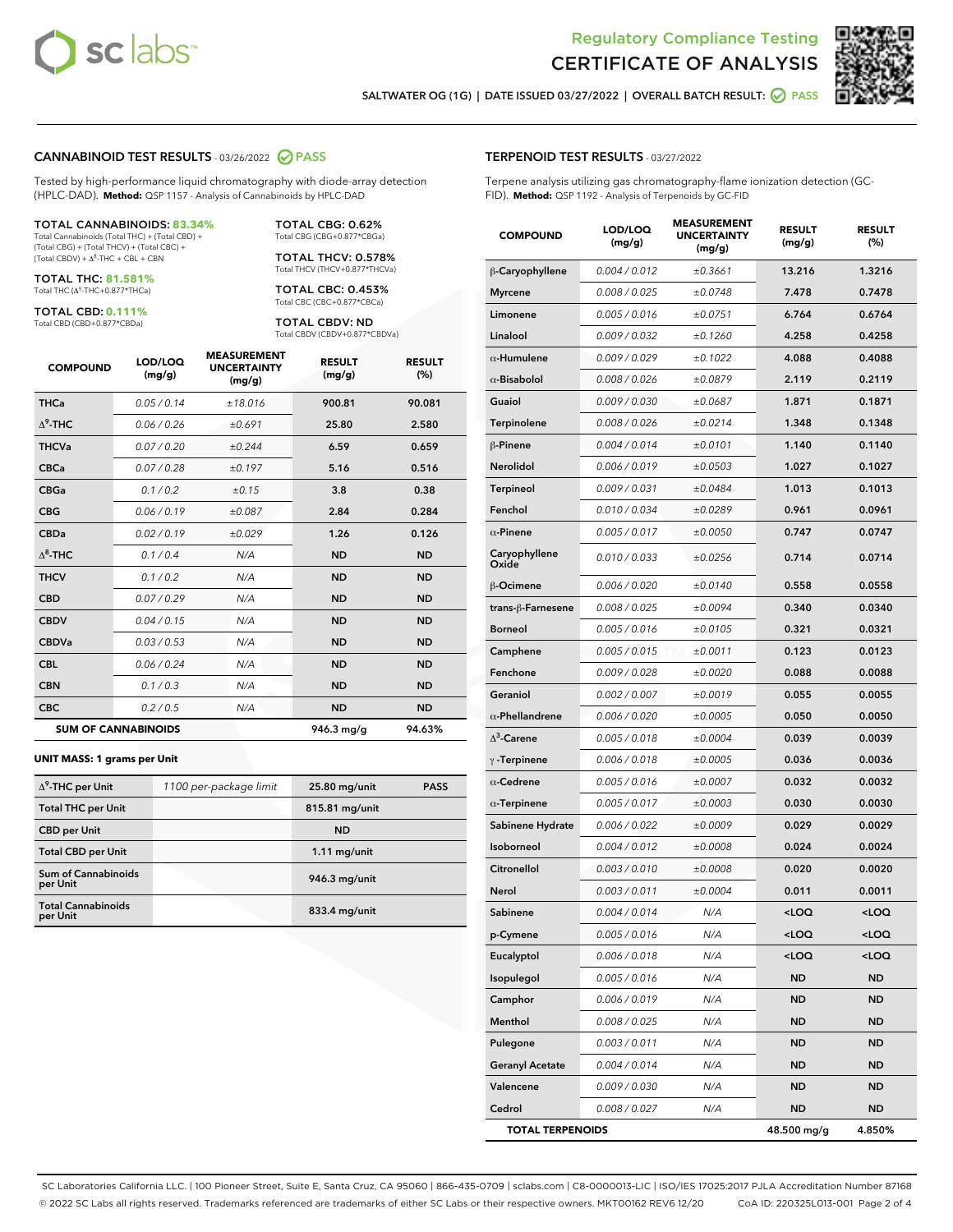



SALTWATER OG (1G) | DATE ISSUED 03/27/2022 | OVERALL BATCH RESULT: @ PASS

# CANNABINOID TEST RESULTS - 03/26/2022 2 PASS

Tested by high-performance liquid chromatography with diode-array detection (HPLC-DAD). **Method:** QSP 1157 - Analysis of Cannabinoids by HPLC-DAD

#### TOTAL CANNABINOIDS: **83.34%**

Total Cannabinoids (Total THC) + (Total CBD) + (Total CBG) + (Total THCV) + (Total CBC) +  $(Total$  CBDV) +  $\Delta$ <sup>8</sup>-THC + CBL + CBN

TOTAL THC: **81.581%** Total THC (Δ<sup>9</sup> -THC+0.877\*THCa)

TOTAL CBD: **0.111%**

Total CBD (CBD+0.877\*CBDa)

TOTAL CBG: 0.62% Total CBG (CBG+0.877\*CBGa)

TOTAL THCV: 0.578% Total THCV (THCV+0.877\*THCVa)

TOTAL CBC: 0.453% Total CBC (CBC+0.877\*CBCa)

TOTAL CBDV: ND Total CBDV (CBDV+0.877\*CBDVa)

| <b>COMPOUND</b>  | LOD/LOO<br>(mg/g)          | <b>MEASUREMENT</b><br><b>UNCERTAINTY</b><br>(mg/g) | <b>RESULT</b><br>(mg/g) | <b>RESULT</b><br>$(\%)$ |
|------------------|----------------------------|----------------------------------------------------|-------------------------|-------------------------|
| <b>THCa</b>      | 0.05/0.14                  | ±18.016                                            | 900.81                  | 90.081                  |
| $\Lambda^9$ -THC | 0.06 / 0.26                | ±0.691                                             | 25.80                   | 2.580                   |
| <b>THCVa</b>     | 0.07/0.20                  | ±0.244                                             | 6.59                    | 0.659                   |
| <b>CBCa</b>      | 0.07 / 0.28                | ±0.197                                             | 5.16                    | 0.516                   |
| <b>CBGa</b>      | 0.1 / 0.2                  | ±0.15                                              | 3.8                     | 0.38                    |
| <b>CBG</b>       | 0.06/0.19                  | ±0.087                                             | 2.84                    | 0.284                   |
| <b>CBDa</b>      | 0.02/0.19                  | ±0.029                                             | 1.26                    | 0.126                   |
| $\Delta^8$ -THC  | 0.1 / 0.4                  | N/A                                                | <b>ND</b>               | <b>ND</b>               |
| <b>THCV</b>      | 0.1 / 0.2                  | N/A                                                | <b>ND</b>               | <b>ND</b>               |
| <b>CBD</b>       | 0.07/0.29                  | N/A                                                | <b>ND</b>               | <b>ND</b>               |
| <b>CBDV</b>      | 0.04 / 0.15                | N/A                                                | <b>ND</b>               | <b>ND</b>               |
| <b>CBDVa</b>     | 0.03 / 0.53                | N/A                                                | <b>ND</b>               | <b>ND</b>               |
| <b>CBL</b>       | 0.06 / 0.24                | N/A                                                | <b>ND</b>               | <b>ND</b>               |
| <b>CBN</b>       | 0.1/0.3                    | N/A                                                | <b>ND</b>               | <b>ND</b>               |
| <b>CBC</b>       | 0.2 / 0.5                  | N/A                                                | <b>ND</b>               | <b>ND</b>               |
|                  | <b>SUM OF CANNABINOIDS</b> |                                                    | 946.3 mg/g              | 94.63%                  |

#### **UNIT MASS: 1 grams per Unit**

| $\Delta^9$ -THC per Unit               | 1100 per-package limit | 25.80 mg/unit   | <b>PASS</b> |
|----------------------------------------|------------------------|-----------------|-------------|
| <b>Total THC per Unit</b>              |                        | 815.81 mg/unit  |             |
| <b>CBD</b> per Unit                    |                        | <b>ND</b>       |             |
| <b>Total CBD per Unit</b>              |                        | $1.11$ mg/unit  |             |
| <b>Sum of Cannabinoids</b><br>per Unit |                        | 946.3 mg/unit   |             |
| <b>Total Cannabinoids</b><br>per Unit  |                        | $833.4$ mg/unit |             |

#### TERPENOID TEST RESULTS - 03/27/2022

Terpene analysis utilizing gas chromatography-flame ionization detection (GC-FID). **Method:** QSP 1192 - Analysis of Terpenoids by GC-FID

| <b>COMPOUND</b>         | LOD/LOQ<br>(mg/g) | <b>MEASUREMENT</b><br><b>UNCERTAINTY</b><br>(mg/g) | <b>RESULT</b><br>(mg/g)                         | <b>RESULT</b><br>(%) |
|-------------------------|-------------------|----------------------------------------------------|-------------------------------------------------|----------------------|
| β-Caryophyllene         | 0.004 / 0.012     | ±0.3661                                            | 13.216                                          | 1.3216               |
| <b>Myrcene</b>          | 0.008 / 0.025     | ±0.0748                                            | 7.478                                           | 0.7478               |
| Limonene                | 0.005 / 0.016     | ±0.0751                                            | 6.764                                           | 0.6764               |
| Linalool                | 0.009 / 0.032     | ±0.1260                                            | 4.258                                           | 0.4258               |
| $\alpha$ -Humulene      | 0.009/0.029       | ±0.1022                                            | 4.088                                           | 0.4088               |
| $\alpha$ -Bisabolol     | 0.008 / 0.026     | ±0.0879                                            | 2.119                                           | 0.2119               |
| Guaiol                  | 0.009 / 0.030     | ±0.0687                                            | 1.871                                           | 0.1871               |
| Terpinolene             | 0.008 / 0.026     | ±0.0214                                            | 1.348                                           | 0.1348               |
| β-Pinene                | 0.004 / 0.014     | ±0.0101                                            | 1.140                                           | 0.1140               |
| Nerolidol               | 0.006 / 0.019     | ±0.0503                                            | 1.027                                           | 0.1027               |
| <b>Terpineol</b>        | 0.009 / 0.031     | ±0.0484                                            | 1.013                                           | 0.1013               |
| Fenchol                 | 0.010 / 0.034     | ±0.0289                                            | 0.961                                           | 0.0961               |
| $\alpha$ -Pinene        | 0.005 / 0.017     | ±0.0050                                            | 0.747                                           | 0.0747               |
| Caryophyllene<br>Oxide  | 0.010 / 0.033     | ±0.0256                                            | 0.714                                           | 0.0714               |
| β-Ocimene               | 0.006 / 0.020     | ±0.0140                                            | 0.558                                           | 0.0558               |
| trans-ß-Farnesene       | 0.008 / 0.025     | ±0.0094                                            | 0.340                                           | 0.0340               |
| <b>Borneol</b>          | 0.005 / 0.016     | ±0.0105                                            | 0.321                                           | 0.0321               |
| Camphene                | 0.005 / 0.015     | ±0.0011                                            | 0.123                                           | 0.0123               |
| Fenchone                | 0.009 / 0.028     | ±0.0020                                            | 0.088                                           | 0.0088               |
| Geraniol                | 0.002 / 0.007     | ±0.0019                                            | 0.055                                           | 0.0055               |
| $\alpha$ -Phellandrene  | 0.006 / 0.020     | ±0.0005                                            | 0.050                                           | 0.0050               |
| $\Delta^3$ -Carene      | 0.005 / 0.018     | ±0.0004                                            | 0.039                                           | 0.0039               |
| $\gamma$ -Terpinene     | 0.006 / 0.018     | ±0.0005                                            | 0.036                                           | 0.0036               |
| $\alpha$ -Cedrene       | 0.005 / 0.016     | ±0.0007                                            | 0.032                                           | 0.0032               |
| $\alpha$ -Terpinene     | 0.005 / 0.017     | ±0.0003                                            | 0.030                                           | 0.0030               |
| Sabinene Hydrate        | 0.006 / 0.022     | ±0.0009                                            | 0.029                                           | 0.0029               |
| Isoborneol              | 0.004 / 0.012     | ±0.0008                                            | 0.024                                           | 0.0024               |
| Citronellol             | 0.003 / 0.010     | ±0.0008                                            | 0.020                                           | 0.0020               |
| Nerol                   | 0.003 / 0.011     | ±0.0004                                            | 0.011                                           | 0.0011               |
| Sabinene                | 0.004 / 0.014     | N/A                                                | <loq< th=""><th><loq< th=""></loq<></th></loq<> | <loq< th=""></loq<>  |
| p-Cymene                | 0.005 / 0.016     | N/A                                                | <loq< th=""><th><loq< th=""></loq<></th></loq<> | <loq< th=""></loq<>  |
| Eucalyptol              | 0.006 / 0.018     | N/A                                                | <loq< th=""><th><loq< th=""></loq<></th></loq<> | <loq< th=""></loq<>  |
| Isopulegol              | 0.005 / 0.016     | N/A                                                | <b>ND</b>                                       | ND                   |
| Camphor                 | 0.006 / 0.019     | N/A                                                | ND                                              | ND                   |
| Menthol                 | 0.008 / 0.025     | N/A                                                | ND                                              | ND                   |
| Pulegone                | 0.003 / 0.011     | N/A                                                | <b>ND</b>                                       | ND                   |
| <b>Geranyl Acetate</b>  | 0.004 / 0.014     | N/A                                                | ND                                              | ND                   |
| Valencene               | 0.009 / 0.030     | N/A                                                | ND                                              | ND                   |
| Cedrol                  | 0.008 / 0.027     | N/A                                                | <b>ND</b>                                       | ND                   |
| <b>TOTAL TERPENOIDS</b> |                   |                                                    | 48.500 mg/g                                     | 4.850%               |

SC Laboratories California LLC. | 100 Pioneer Street, Suite E, Santa Cruz, CA 95060 | 866-435-0709 | sclabs.com | C8-0000013-LIC | ISO/IES 17025:2017 PJLA Accreditation Number 87168 © 2022 SC Labs all rights reserved. Trademarks referenced are trademarks of either SC Labs or their respective owners. MKT00162 REV6 12/20 CoA ID: 220325L013-001 Page 2 of 4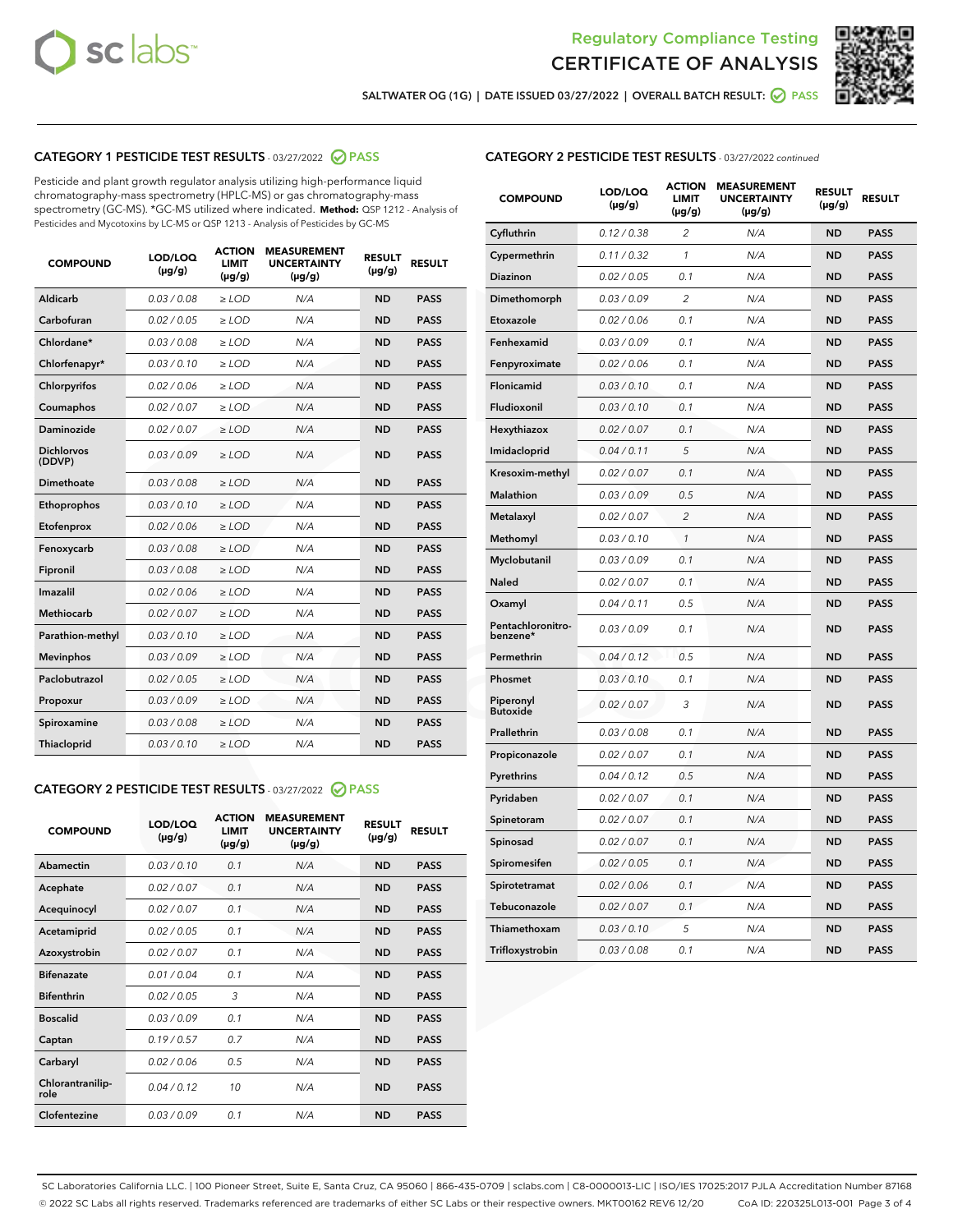



SALTWATER OG (1G) | DATE ISSUED 03/27/2022 | OVERALL BATCH RESULT:  $\bigotimes$  PASS

# CATEGORY 1 PESTICIDE TEST RESULTS - 03/27/2022 2 PASS

Pesticide and plant growth regulator analysis utilizing high-performance liquid chromatography-mass spectrometry (HPLC-MS) or gas chromatography-mass spectrometry (GC-MS). \*GC-MS utilized where indicated. **Method:** QSP 1212 - Analysis of Pesticides and Mycotoxins by LC-MS or QSP 1213 - Analysis of Pesticides by GC-MS

| <b>COMPOUND</b>             | LOD/LOQ<br>$(\mu g/g)$ | <b>ACTION</b><br>LIMIT<br>$(\mu g/g)$ | <b>MEASUREMENT</b><br><b>UNCERTAINTY</b><br>$(\mu g/g)$ | <b>RESULT</b><br>$(\mu g/g)$ | <b>RESULT</b> |
|-----------------------------|------------------------|---------------------------------------|---------------------------------------------------------|------------------------------|---------------|
| <b>Aldicarb</b>             | 0.03 / 0.08            | $\geq$ LOD                            | N/A                                                     | <b>ND</b>                    | <b>PASS</b>   |
| Carbofuran                  | 0.02 / 0.05            | $\ge$ LOD                             | N/A                                                     | <b>ND</b>                    | <b>PASS</b>   |
| Chlordane*                  | 0.03/0.08              | $>$ LOD                               | N/A                                                     | <b>ND</b>                    | <b>PASS</b>   |
| Chlorfenapyr*               | 0.03/0.10              | $>$ LOD                               | N/A                                                     | <b>ND</b>                    | <b>PASS</b>   |
| Chlorpyrifos                | 0.02 / 0.06            | $>$ LOD                               | N/A                                                     | <b>ND</b>                    | <b>PASS</b>   |
| Coumaphos                   | 0.02 / 0.07            | $\geq$ LOD                            | N/A                                                     | <b>ND</b>                    | <b>PASS</b>   |
| <b>Daminozide</b>           | 0.02 / 0.07            | $\ge$ LOD                             | N/A                                                     | <b>ND</b>                    | <b>PASS</b>   |
| <b>Dichlorvos</b><br>(DDVP) | 0.03/0.09              | $\geq$ LOD                            | N/A                                                     | <b>ND</b>                    | <b>PASS</b>   |
| Dimethoate                  | 0.03 / 0.08            | $>$ LOD                               | N/A                                                     | <b>ND</b>                    | <b>PASS</b>   |
| Ethoprophos                 | 0.03/0.10              | $\geq$ LOD                            | N/A                                                     | <b>ND</b>                    | <b>PASS</b>   |
| Etofenprox                  | 0.02 / 0.06            | > LOD                                 | N/A                                                     | <b>ND</b>                    | <b>PASS</b>   |
| Fenoxycarb                  | 0.03 / 0.08            | $\geq$ LOD                            | N/A                                                     | <b>ND</b>                    | <b>PASS</b>   |
| Fipronil                    | 0.03 / 0.08            | $\ge$ LOD                             | N/A                                                     | <b>ND</b>                    | <b>PASS</b>   |
| Imazalil                    | 0.02 / 0.06            | $\ge$ LOD                             | N/A                                                     | <b>ND</b>                    | <b>PASS</b>   |
| <b>Methiocarb</b>           | 0.02 / 0.07            | $\ge$ LOD                             | N/A                                                     | <b>ND</b>                    | <b>PASS</b>   |
| Parathion-methyl            | 0.03/0.10              | > LOD                                 | N/A                                                     | <b>ND</b>                    | <b>PASS</b>   |
| <b>Mevinphos</b>            | 0.03/0.09              | $\ge$ LOD                             | N/A                                                     | <b>ND</b>                    | <b>PASS</b>   |
| Paclobutrazol               | 0.02 / 0.05            | $\ge$ LOD                             | N/A                                                     | <b>ND</b>                    | <b>PASS</b>   |
| Propoxur                    | 0.03 / 0.09            | $\geq$ LOD                            | N/A                                                     | <b>ND</b>                    | <b>PASS</b>   |
| Spiroxamine                 | 0.03 / 0.08            | $\ge$ LOD                             | N/A                                                     | <b>ND</b>                    | <b>PASS</b>   |
| Thiacloprid                 | 0.03/0.10              | $>$ LOD                               | N/A                                                     | <b>ND</b>                    | <b>PASS</b>   |

# CATEGORY 2 PESTICIDE TEST RESULTS - 03/27/2022 @ PASS

| <b>COMPOUND</b>          | LOD/LOO<br>$(\mu g/g)$ | <b>ACTION</b><br>LIMIT<br>$(\mu g/g)$ | <b>MEASUREMENT</b><br><b>UNCERTAINTY</b><br>$(\mu g/g)$ | <b>RESULT</b><br>$(\mu g/g)$ | <b>RESULT</b> |  |
|--------------------------|------------------------|---------------------------------------|---------------------------------------------------------|------------------------------|---------------|--|
| Abamectin                | 0.03/0.10              | 0.1                                   | N/A                                                     | <b>ND</b>                    | <b>PASS</b>   |  |
| Acephate                 | 0.02/0.07              | 0.1                                   | N/A                                                     | <b>ND</b>                    | <b>PASS</b>   |  |
| Acequinocyl              | 0.02/0.07              | 0.1                                   | N/A                                                     | <b>ND</b>                    | <b>PASS</b>   |  |
| Acetamiprid              | 0.02 / 0.05            | 0.1                                   | N/A                                                     | <b>ND</b>                    | <b>PASS</b>   |  |
| Azoxystrobin             | 0.02/0.07              | 0.1                                   | N/A                                                     | <b>ND</b>                    | <b>PASS</b>   |  |
| <b>Bifenazate</b>        | 0.01/0.04              | 0.1                                   | N/A                                                     | <b>ND</b>                    | <b>PASS</b>   |  |
| <b>Bifenthrin</b>        | 0.02/0.05              | 3                                     | N/A                                                     | <b>ND</b>                    | <b>PASS</b>   |  |
| <b>Boscalid</b>          | 0.03/0.09              | 0.1                                   | N/A                                                     | <b>ND</b>                    | <b>PASS</b>   |  |
| Captan                   | 0.19/0.57              | 0.7                                   | N/A                                                     | <b>ND</b>                    | <b>PASS</b>   |  |
| Carbaryl                 | 0.02/0.06              | 0.5                                   | N/A                                                     | <b>ND</b>                    | <b>PASS</b>   |  |
| Chlorantranilip-<br>role | 0.04/0.12              | 10                                    | N/A                                                     | <b>ND</b>                    | <b>PASS</b>   |  |
| Clofentezine             | 0.03/0.09              | 0.1                                   | N/A                                                     | <b>ND</b>                    | <b>PASS</b>   |  |

# CATEGORY 2 PESTICIDE TEST RESULTS - 03/27/2022 continued

| <b>COMPOUND</b>               | LOD/LOQ<br>(µg/g) | <b>ACTION</b><br><b>LIMIT</b><br>(µg/g) | <b>MEASUREMENT</b><br><b>UNCERTAINTY</b><br>$(\mu g/g)$ | <b>RESULT</b><br>(µg/g) | <b>RESULT</b> |
|-------------------------------|-------------------|-----------------------------------------|---------------------------------------------------------|-------------------------|---------------|
| Cyfluthrin                    | 0.12 / 0.38       | $\overline{c}$                          | N/A                                                     | <b>ND</b>               | <b>PASS</b>   |
| Cypermethrin                  | 0.11 / 0.32       | 1                                       | N/A                                                     | <b>ND</b>               | <b>PASS</b>   |
| <b>Diazinon</b>               | 0.02 / 0.05       | 0.1                                     | N/A                                                     | <b>ND</b>               | <b>PASS</b>   |
| Dimethomorph                  | 0.03 / 0.09       | $\overline{c}$                          | N/A                                                     | <b>ND</b>               | <b>PASS</b>   |
| Etoxazole                     | 0.02 / 0.06       | 0.1                                     | N/A                                                     | <b>ND</b>               | <b>PASS</b>   |
| Fenhexamid                    | 0.03 / 0.09       | 0.1                                     | N/A                                                     | <b>ND</b>               | <b>PASS</b>   |
| Fenpyroximate                 | 0.02 / 0.06       | 0.1                                     | N/A                                                     | <b>ND</b>               | <b>PASS</b>   |
| Flonicamid                    | 0.03 / 0.10       | 0.1                                     | N/A                                                     | <b>ND</b>               | <b>PASS</b>   |
| Fludioxonil                   | 0.03 / 0.10       | 0.1                                     | N/A                                                     | <b>ND</b>               | <b>PASS</b>   |
| Hexythiazox                   | 0.02 / 0.07       | 0.1                                     | N/A                                                     | <b>ND</b>               | <b>PASS</b>   |
| Imidacloprid                  | 0.04 / 0.11       | 5                                       | N/A                                                     | <b>ND</b>               | <b>PASS</b>   |
| Kresoxim-methyl               | 0.02 / 0.07       | 0.1                                     | N/A                                                     | <b>ND</b>               | <b>PASS</b>   |
| Malathion                     | 0.03 / 0.09       | 0.5                                     | N/A                                                     | <b>ND</b>               | <b>PASS</b>   |
| Metalaxyl                     | 0.02 / 0.07       | $\overline{c}$                          | N/A                                                     | <b>ND</b>               | <b>PASS</b>   |
| Methomyl                      | 0.03 / 0.10       | 1                                       | N/A                                                     | <b>ND</b>               | <b>PASS</b>   |
| Myclobutanil                  | 0.03 / 0.09       | 0.1                                     | N/A                                                     | <b>ND</b>               | <b>PASS</b>   |
| <b>Naled</b>                  | 0.02 / 0.07       | 0.1                                     | N/A                                                     | <b>ND</b>               | <b>PASS</b>   |
| Oxamyl                        | 0.04 / 0.11       | 0.5                                     | N/A                                                     | <b>ND</b>               | <b>PASS</b>   |
| Pentachloronitro-<br>benzene* | 0.03 / 0.09       | 0.1                                     | N/A                                                     | <b>ND</b>               | <b>PASS</b>   |
| Permethrin                    | 0.04 / 0.12       | 0.5                                     | N/A                                                     | <b>ND</b>               | <b>PASS</b>   |
| Phosmet                       | 0.03 / 0.10       | 0.1                                     | N/A                                                     | <b>ND</b>               | <b>PASS</b>   |
| Piperonyl<br><b>Butoxide</b>  | 0.02 / 0.07       | 3                                       | N/A                                                     | <b>ND</b>               | <b>PASS</b>   |
| Prallethrin                   | 0.03 / 0.08       | 0.1                                     | N/A                                                     | <b>ND</b>               | <b>PASS</b>   |
| Propiconazole                 | 0.02 / 0.07       | 0.1                                     | N/A                                                     | <b>ND</b>               | <b>PASS</b>   |
| Pyrethrins                    | 0.04 / 0.12       | 0.5                                     | N/A                                                     | <b>ND</b>               | <b>PASS</b>   |
| Pyridaben                     | 0.02 / 0.07       | 0.1                                     | N/A                                                     | <b>ND</b>               | <b>PASS</b>   |
| Spinetoram                    | 0.02 / 0.07       | 0.1                                     | N/A                                                     | <b>ND</b>               | <b>PASS</b>   |
| Spinosad                      | 0.02 / 0.07       | 0.1                                     | N/A                                                     | <b>ND</b>               | <b>PASS</b>   |
| Spiromesifen                  | 0.02 / 0.05       | 0.1                                     | N/A                                                     | <b>ND</b>               | <b>PASS</b>   |
| Spirotetramat                 | 0.02 / 0.06       | 0.1                                     | N/A                                                     | <b>ND</b>               | <b>PASS</b>   |
| Tebuconazole                  | 0.02 / 0.07       | 0.1                                     | N/A                                                     | <b>ND</b>               | <b>PASS</b>   |
| Thiamethoxam                  | 0.03 / 0.10       | 5                                       | N/A                                                     | <b>ND</b>               | <b>PASS</b>   |
| Trifloxystrobin               | 0.03 / 0.08       | 0.1                                     | N/A                                                     | <b>ND</b>               | <b>PASS</b>   |

SC Laboratories California LLC. | 100 Pioneer Street, Suite E, Santa Cruz, CA 95060 | 866-435-0709 | sclabs.com | C8-0000013-LIC | ISO/IES 17025:2017 PJLA Accreditation Number 87168 © 2022 SC Labs all rights reserved. Trademarks referenced are trademarks of either SC Labs or their respective owners. MKT00162 REV6 12/20 CoA ID: 220325L013-001 Page 3 of 4